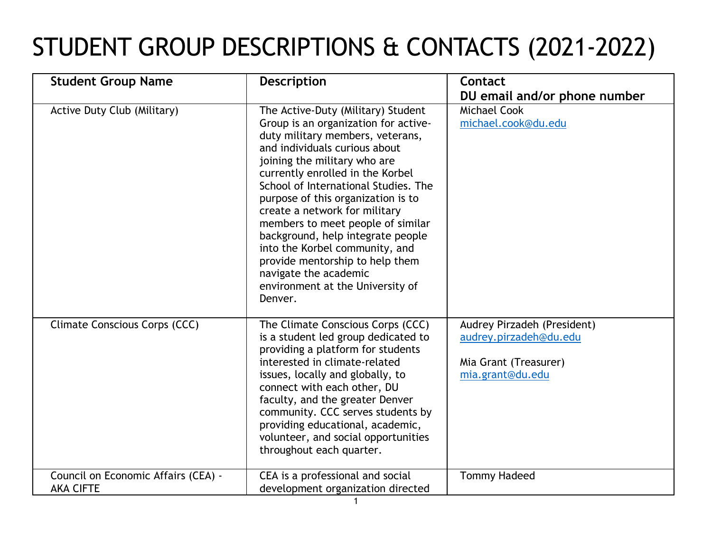## STUDENT GROUP DESCRIPTIONS & CONTACTS (2021-2022)

| <b>Student Group Name</b>                               | <b>Description</b>                                                                                                                                                                                                                                                                                                                                                                                                                                                                                                                                        | Contact<br>DU email and/or phone number                                                            |
|---------------------------------------------------------|-----------------------------------------------------------------------------------------------------------------------------------------------------------------------------------------------------------------------------------------------------------------------------------------------------------------------------------------------------------------------------------------------------------------------------------------------------------------------------------------------------------------------------------------------------------|----------------------------------------------------------------------------------------------------|
| <b>Active Duty Club (Military)</b>                      | The Active-Duty (Military) Student<br>Group is an organization for active-<br>duty military members, veterans,<br>and individuals curious about<br>joining the military who are<br>currently enrolled in the Korbel<br>School of International Studies. The<br>purpose of this organization is to<br>create a network for military<br>members to meet people of similar<br>background, help integrate people<br>into the Korbel community, and<br>provide mentorship to help them<br>navigate the academic<br>environment at the University of<br>Denver. | <b>Michael Cook</b><br>michael.cook@du.edu                                                         |
| <b>Climate Conscious Corps (CCC)</b>                    | The Climate Conscious Corps (CCC)<br>is a student led group dedicated to<br>providing a platform for students<br>interested in climate-related<br>issues, locally and globally, to<br>connect with each other, DU<br>faculty, and the greater Denver<br>community. CCC serves students by<br>providing educational, academic,<br>volunteer, and social opportunities<br>throughout each quarter.                                                                                                                                                          | Audrey Pirzadeh (President)<br>audrey.pirzadeh@du.edu<br>Mia Grant (Treasurer)<br>mia.grant@du.edu |
| Council on Economic Affairs (CEA) -<br><b>AKA CIFTE</b> | CEA is a professional and social<br>development organization directed                                                                                                                                                                                                                                                                                                                                                                                                                                                                                     | <b>Tommy Hadeed</b>                                                                                |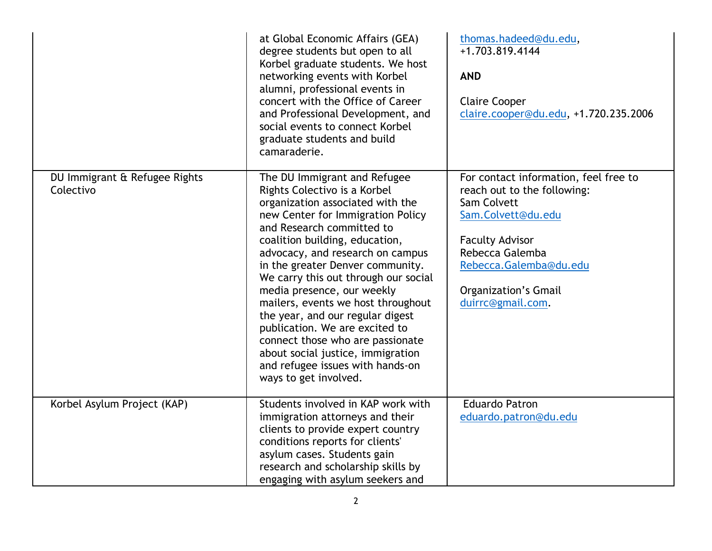|                                            | at Global Economic Affairs (GEA)<br>degree students but open to all<br>Korbel graduate students. We host<br>networking events with Korbel<br>alumni, professional events in<br>concert with the Office of Career<br>and Professional Development, and<br>social events to connect Korbel<br>graduate students and build<br>camaraderie.                                                                                                                                                                                                                                                              | thomas.hadeed@du.edu,<br>+1.703.819.4144<br><b>AND</b><br><b>Claire Cooper</b><br>claire.cooper@du.edu, +1.720.235.2006                                                                                                              |
|--------------------------------------------|------------------------------------------------------------------------------------------------------------------------------------------------------------------------------------------------------------------------------------------------------------------------------------------------------------------------------------------------------------------------------------------------------------------------------------------------------------------------------------------------------------------------------------------------------------------------------------------------------|--------------------------------------------------------------------------------------------------------------------------------------------------------------------------------------------------------------------------------------|
| DU Immigrant & Refugee Rights<br>Colectivo | The DU Immigrant and Refugee<br>Rights Colectivo is a Korbel<br>organization associated with the<br>new Center for Immigration Policy<br>and Research committed to<br>coalition building, education,<br>advocacy, and research on campus<br>in the greater Denver community.<br>We carry this out through our social<br>media presence, our weekly<br>mailers, events we host throughout<br>the year, and our regular digest<br>publication. We are excited to<br>connect those who are passionate<br>about social justice, immigration<br>and refugee issues with hands-on<br>ways to get involved. | For contact information, feel free to<br>reach out to the following:<br>Sam Colvett<br>Sam.Colvett@du.edu<br><b>Faculty Advisor</b><br>Rebecca Galemba<br>Rebecca.Galemba@du.edu<br><b>Organization's Gmail</b><br>duirrc@gmail.com. |
| Korbel Asylum Project (KAP)                | Students involved in KAP work with<br>immigration attorneys and their<br>clients to provide expert country<br>conditions reports for clients'<br>asylum cases. Students gain<br>research and scholarship skills by<br>engaging with asylum seekers and                                                                                                                                                                                                                                                                                                                                               | <b>Eduardo Patron</b><br>eduardo.patron@du.edu                                                                                                                                                                                       |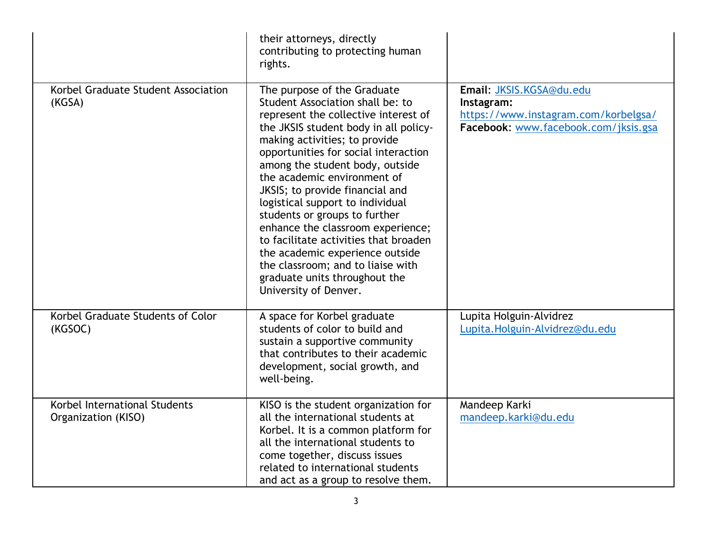|                                                      | their attorneys, directly<br>contributing to protecting human<br>rights.                                                                                                                                                                                                                                                                                                                                                                                                                                                                                                                                            |                                                                                                                        |
|------------------------------------------------------|---------------------------------------------------------------------------------------------------------------------------------------------------------------------------------------------------------------------------------------------------------------------------------------------------------------------------------------------------------------------------------------------------------------------------------------------------------------------------------------------------------------------------------------------------------------------------------------------------------------------|------------------------------------------------------------------------------------------------------------------------|
| Korbel Graduate Student Association<br>(KGSA)        | The purpose of the Graduate<br>Student Association shall be: to<br>represent the collective interest of<br>the JKSIS student body in all policy-<br>making activities; to provide<br>opportunities for social interaction<br>among the student body, outside<br>the academic environment of<br>JKSIS; to provide financial and<br>logistical support to individual<br>students or groups to further<br>enhance the classroom experience;<br>to facilitate activities that broaden<br>the academic experience outside<br>the classroom; and to liaise with<br>graduate units throughout the<br>University of Denver. | Email: JKSIS.KGSA@du.edu<br>Instagram:<br>https://www.instagram.com/korbelgsa/<br>Facebook: www.facebook.com/jksis.gsa |
| Korbel Graduate Students of Color<br>(KGSOC)         | A space for Korbel graduate<br>students of color to build and<br>sustain a supportive community<br>that contributes to their academic<br>development, social growth, and<br>well-being.                                                                                                                                                                                                                                                                                                                                                                                                                             | Lupita Holguin-Alvidrez<br>Lupita.Holguin-Alvidrez@du.edu                                                              |
| Korbel International Students<br>Organization (KISO) | KISO is the student organization for<br>all the international students at<br>Korbel. It is a common platform for<br>all the international students to<br>come together, discuss issues<br>related to international students<br>and act as a group to resolve them.                                                                                                                                                                                                                                                                                                                                                  | Mandeep Karki<br>mandeep.karki@du.edu                                                                                  |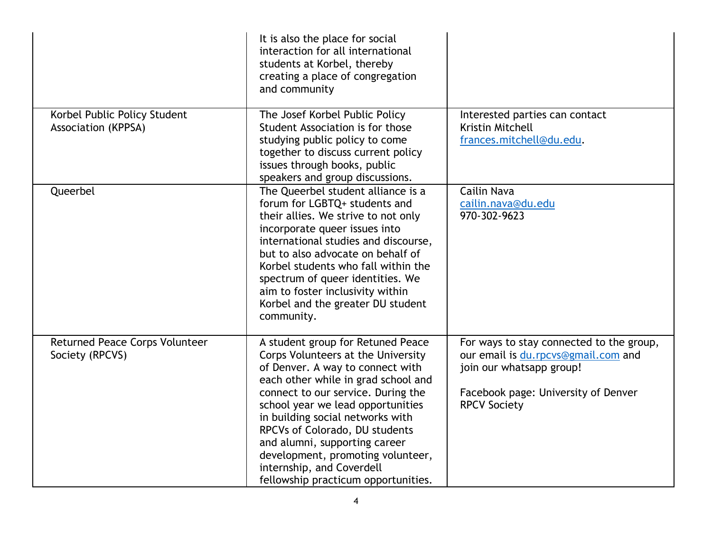|                                                            | It is also the place for social<br>interaction for all international<br>students at Korbel, thereby<br>creating a place of congregation<br>and community                                                                                                                                                                                                                                                                                      |                                                                                                                                                                           |
|------------------------------------------------------------|-----------------------------------------------------------------------------------------------------------------------------------------------------------------------------------------------------------------------------------------------------------------------------------------------------------------------------------------------------------------------------------------------------------------------------------------------|---------------------------------------------------------------------------------------------------------------------------------------------------------------------------|
| Korbel Public Policy Student<br><b>Association (KPPSA)</b> | The Josef Korbel Public Policy<br>Student Association is for those<br>studying public policy to come<br>together to discuss current policy<br>issues through books, public<br>speakers and group discussions.                                                                                                                                                                                                                                 | Interested parties can contact<br>Kristin Mitchell<br>frances.mitchell@du.edu.                                                                                            |
| Queerbel                                                   | The Queerbel student alliance is a<br>forum for LGBTQ+ students and<br>their allies. We strive to not only<br>incorporate queer issues into<br>international studies and discourse,<br>but to also advocate on behalf of<br>Korbel students who fall within the<br>spectrum of queer identities. We<br>aim to foster inclusivity within<br>Korbel and the greater DU student<br>community.                                                    | <b>Cailin Nava</b><br>cailin.nava@du.edu<br>970-302-9623                                                                                                                  |
| Returned Peace Corps Volunteer<br>Society (RPCVS)          | A student group for Retuned Peace<br>Corps Volunteers at the University<br>of Denver. A way to connect with<br>each other while in grad school and<br>connect to our service. During the<br>school year we lead opportunities<br>in building social networks with<br>RPCVs of Colorado, DU students<br>and alumni, supporting career<br>development, promoting volunteer,<br>internship, and Coverdell<br>fellowship practicum opportunities. | For ways to stay connected to the group,<br>our email is du.rpcvs@gmail.com and<br>join our whatsapp group!<br>Facebook page: University of Denver<br><b>RPCV Society</b> |